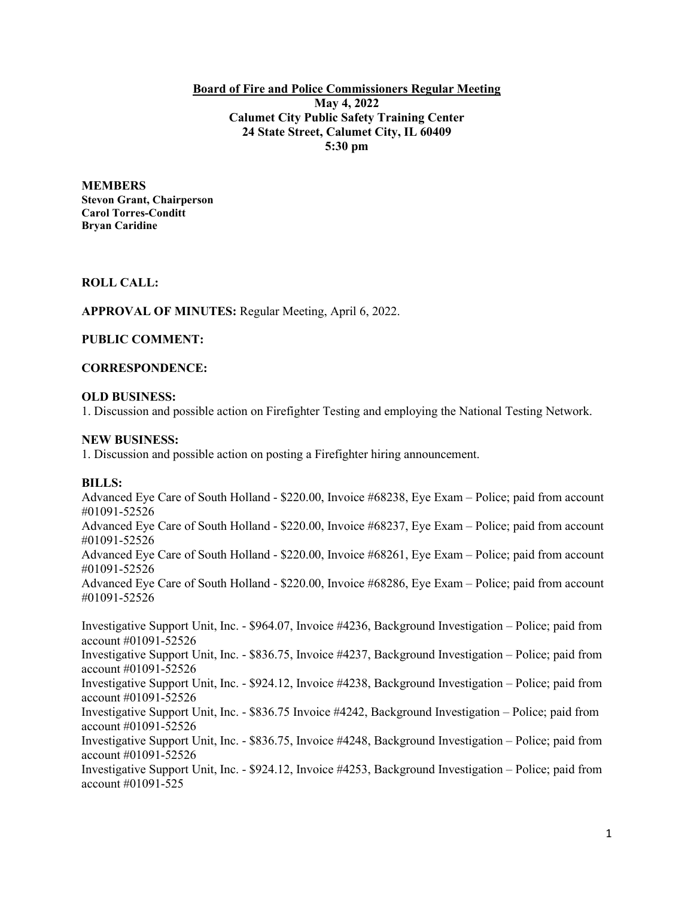**Board of Fire and Police Commissioners Regular Meeting May 4, 2022 Calumet City Public Safety Training Center 24 State Street, Calumet City, IL 60409 5:30 pm**

#### **MEMBERS**

**Stevon Grant, Chairperson Carol Torres-Conditt Bryan Caridine**

### **ROLL CALL:**

**APPROVAL OF MINUTES:** Regular Meeting, April 6, 2022.

## **PUBLIC COMMENT:**

## **CORRESPONDENCE:**

#### **OLD BUSINESS:**

1. Discussion and possible action on Firefighter Testing and employing the National Testing Network.

## **NEW BUSINESS:**

1. Discussion and possible action on posting a Firefighter hiring announcement.

# **BILLS:**

Advanced Eye Care of South Holland - \$220.00, Invoice #68238, Eye Exam – Police; paid from account #01091-52526 Advanced Eye Care of South Holland - \$220.00, Invoice #68237, Eye Exam – Police; paid from account #01091-52526 Advanced Eye Care of South Holland - \$220.00, Invoice #68261, Eye Exam – Police; paid from account #01091-52526 Advanced Eye Care of South Holland - \$220.00, Invoice #68286, Eye Exam – Police; paid from account #01091-52526

Investigative Support Unit, Inc. - \$964.07, Invoice #4236, Background Investigation – Police; paid from account #01091-52526 Investigative Support Unit, Inc. - \$836.75, Invoice #4237, Background Investigation – Police; paid from account #01091-52526 Investigative Support Unit, Inc. - \$924.12, Invoice #4238, Background Investigation – Police; paid from account #01091-52526 Investigative Support Unit, Inc. - \$836.75 Invoice #4242, Background Investigation – Police; paid from account #01091-52526 Investigative Support Unit, Inc. - \$836.75, Invoice #4248, Background Investigation – Police; paid from account #01091-52526 Investigative Support Unit, Inc. - \$924.12, Invoice #4253, Background Investigation – Police; paid from account #01091-525